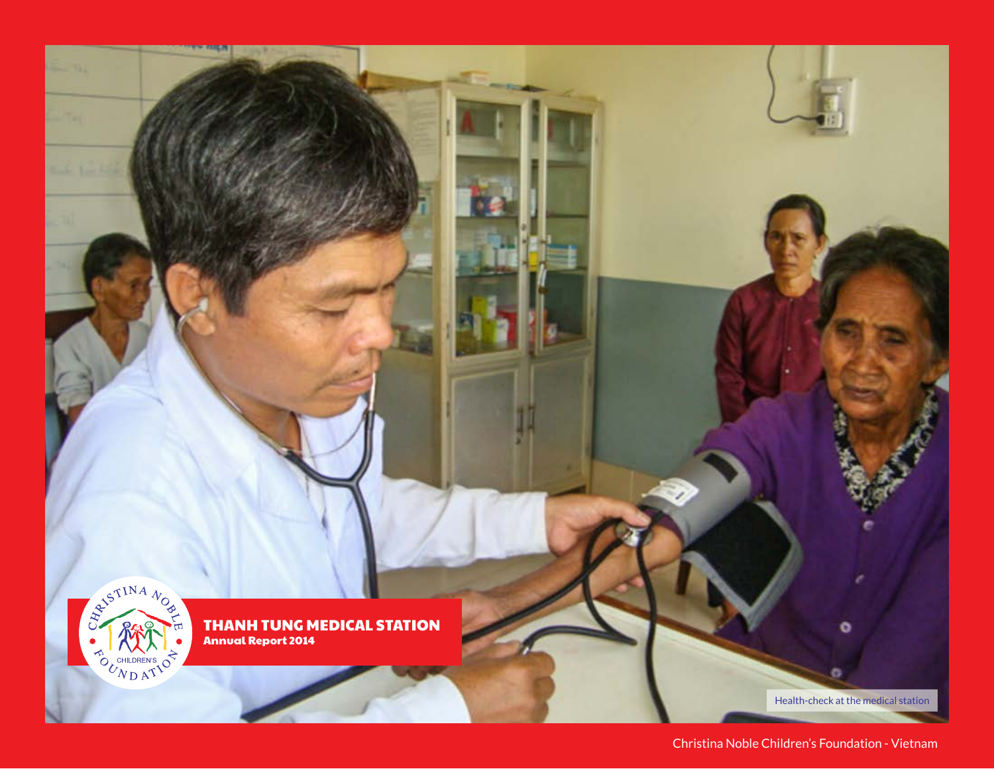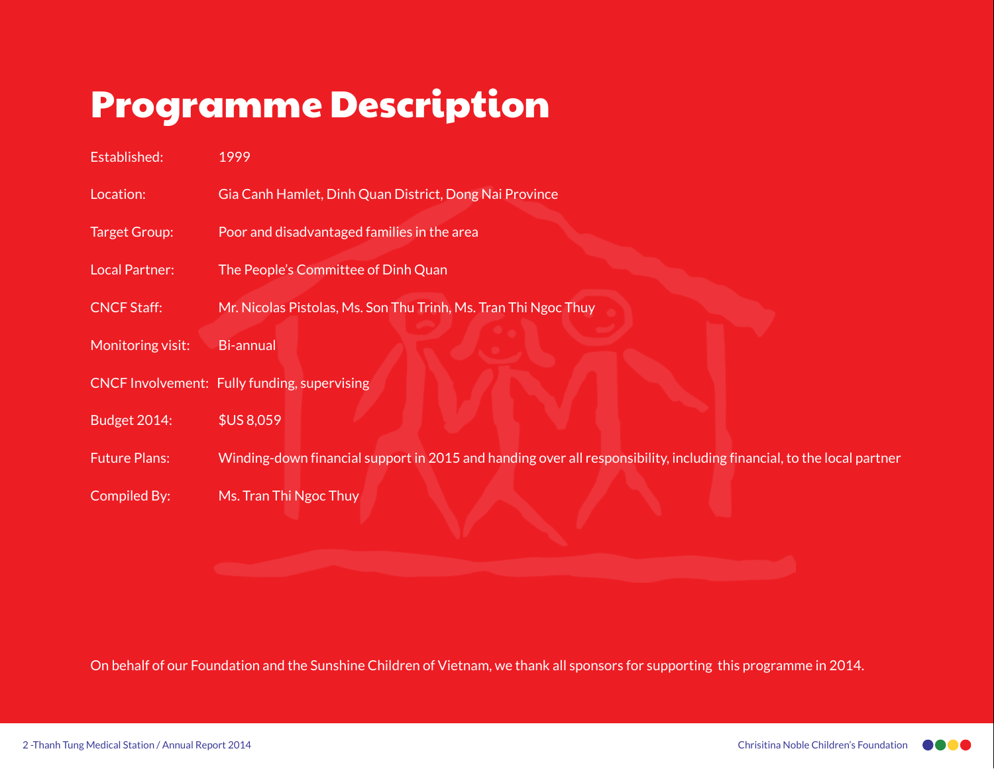# Programme Description

| Established:         | 1999                                                                                                                  |
|----------------------|-----------------------------------------------------------------------------------------------------------------------|
| Location:            | Gia Canh Hamlet, Dinh Quan District, Dong Nai Province                                                                |
| Target Group:        | Poor and disadvantaged families in the area                                                                           |
| Local Partner:       | The People's Committee of Dinh Quan                                                                                   |
| <b>CNCF Staff:</b>   | Mr. Nicolas Pistolas, Ms. Son Thu Trinh, Ms. Tran Thi Ngoc Thuy                                                       |
| Monitoring visit:    | <b>Bi-annual</b>                                                                                                      |
|                      | <b>CNCF Involvement: Fully funding, supervising</b>                                                                   |
| <b>Budget 2014:</b>  | <b>\$US 8,059</b>                                                                                                     |
| <b>Future Plans:</b> | Winding-down financial support in 2015 and handing over all responsibility, including financial, to the local partner |
| Compiled By:         | Ms. Tran Thi Ngoc Thuy                                                                                                |

On behalf of our Foundation and the Sunshine Children of Vietnam, we thank all sponsors for supporting this programme in 2014.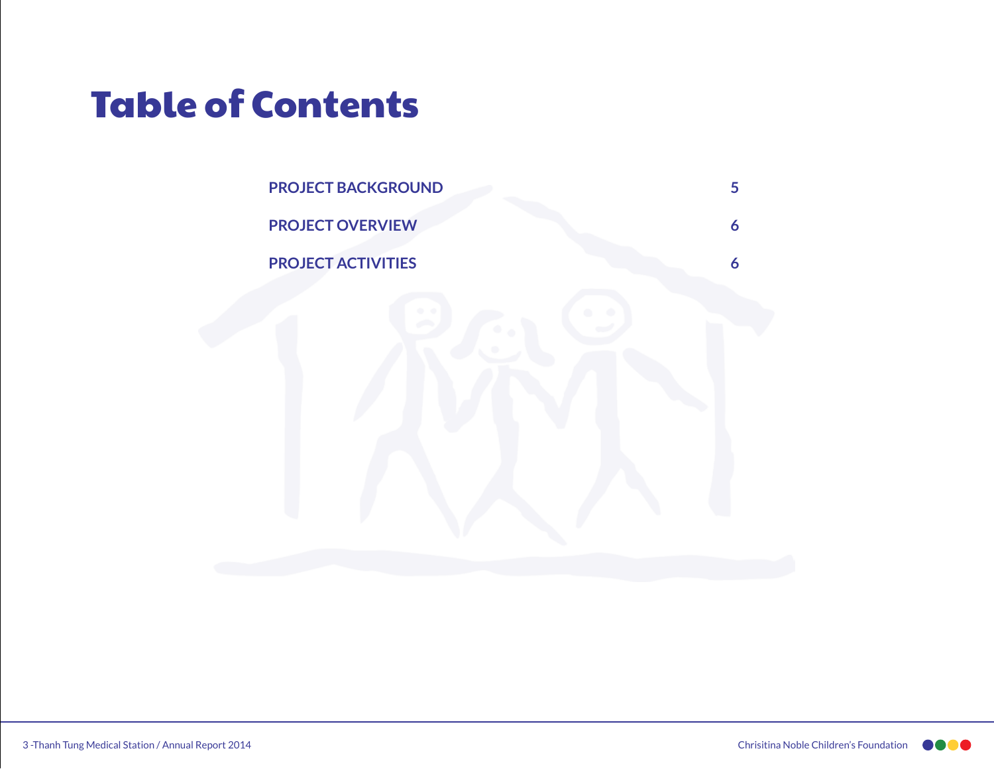## Table of Contents

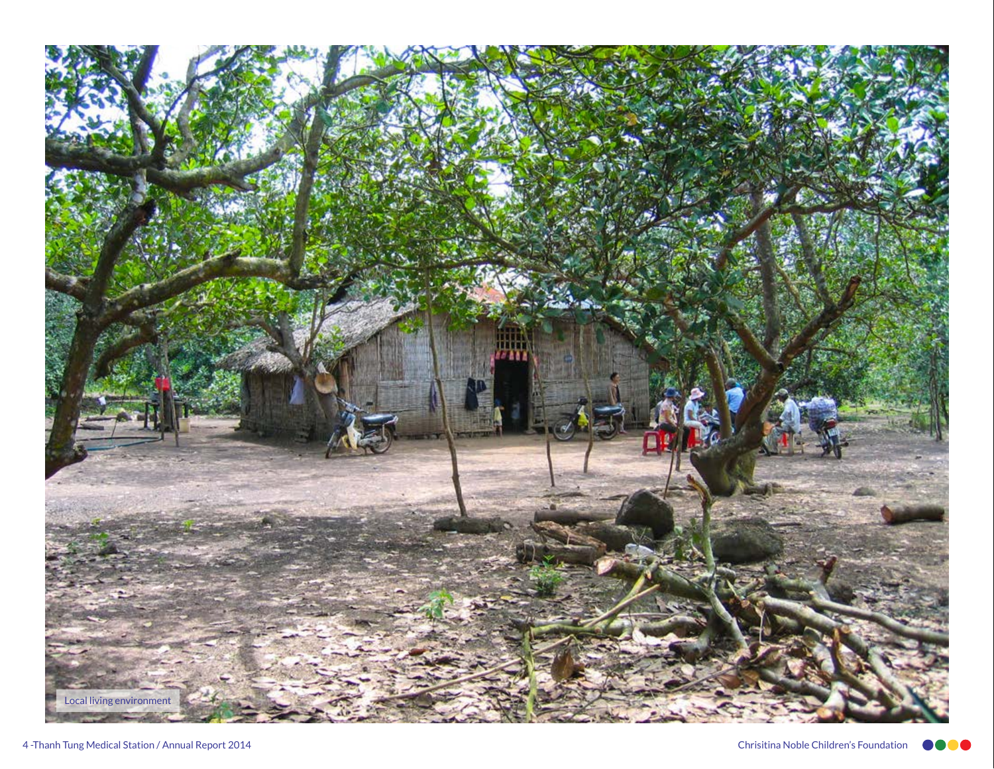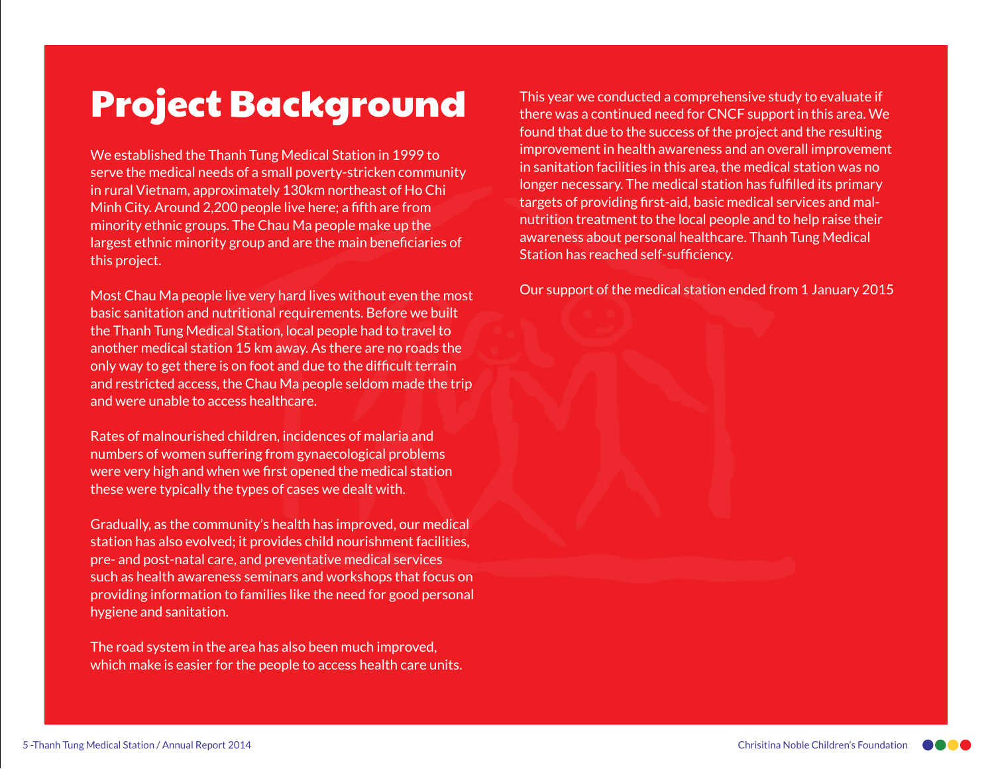## Project Background

We established the Thanh Tung Medical Station in 1999 to serve the medical needs of a small poverty-stricken community in rural Vietnam, approximately 130km northeast of Ho Chi Minh City. Around 2,200 people live here; a fifth are from minority ethnic groups. The Chau Ma people make up the largest ethnic minority group and are the main beneficiaries of this project.

Most Chau Ma people live very hard lives without even the most basic sanitation and nutritional requirements. Before we built the Thanh Tung Medical Station, local people had to travel to another medical station 15 km away. As there are no roads the only way to get there is on foot and due to the difficult terrain and restricted access, the Chau Ma people seldom made the trip and were unable to access healthcare.

Rates of malnourished children, incidences of malaria and numbers of women suffering from gynaecological problems were very high and when we first opened the medical station these were typically the types of cases we dealt with.

Gradually, as the community's health has improved, our medical station has also evolved; it provides child nourishment facilities, pre- and post-natal care, and preventative medical services such as health awareness seminars and workshops that focus on providing information to families like the need for good personal hygiene and sanitation.

The road system in the area has also been much improved, which make is easier for the people to access health care units.

This year we conducted a comprehensive study to evaluate if there was a continued need for CNCF support in this area. We found that due to the success of the project and the resulting improvement in health awareness and an overall improvement in sanitation facilities in this area, the medical station was no longer necessary. The medical station has fulfilled its primary targets of providing first-aid, basic medical services and malnutrition treatment to the local people and to help raise their awareness about personal healthcare. Thanh Tung Medical Station has reached self-sufficiency.

Our support of the medical station ended from 1 January 2015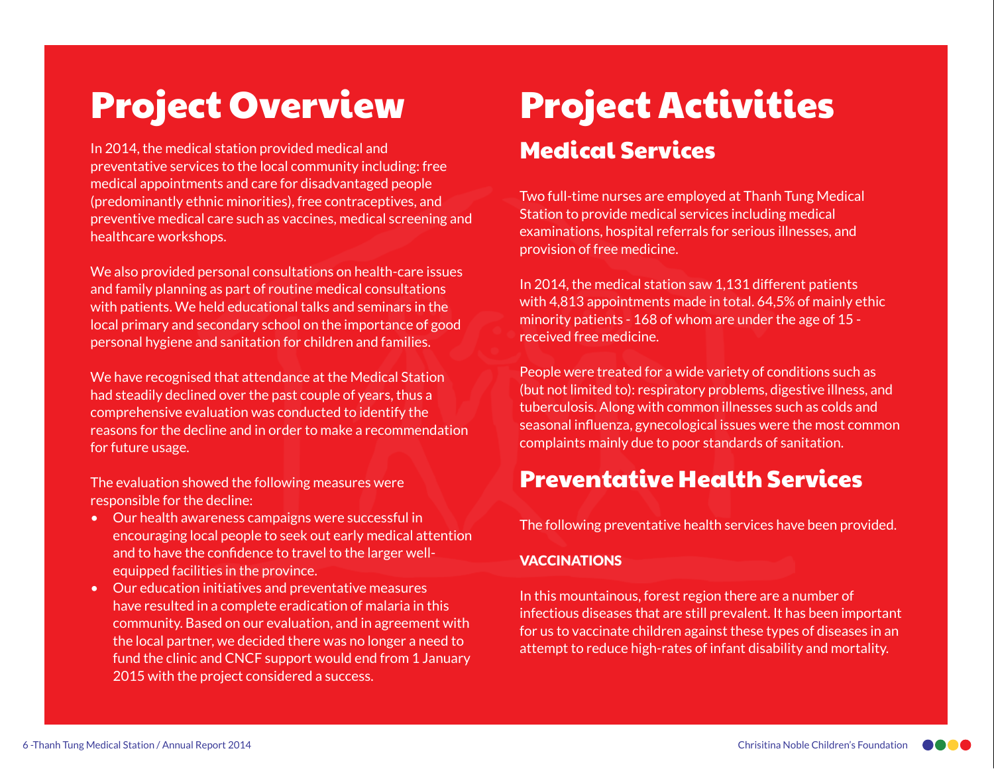## Project Overview

In 2014, the medical station provided medical and preventative services to the local community including: free medical appointments and care for disadvantaged people (predominantly ethnic minorities), free contraceptives, and preventive medical care such as vaccines, medical screening and healthcare workshops.

We also provided personal consultations on health-care issues and family planning as part of routine medical consultations with patients. We held educational talks and seminars in the local primary and secondary school on the importance of good personal hygiene and sanitation for children and families.

We have recognised that attendance at the Medical Station had steadily declined over the past couple of years, thus a comprehensive evaluation was conducted to identify the reasons for the decline and in order to make a recommendation for future usage.

The evaluation showed the following measures were responsible for the decline:

- Our health awareness campaigns were successful in encouraging local people to seek out early medical attention and to have the confidence to travel to the larger wellequipped facilities in the province.
- Our education initiatives and preventative measures have resulted in a complete eradication of malaria in this community. Based on our evaluation, and in agreement with the local partner, we decided there was no longer a need to fund the clinic and CNCF support would end from 1 January 2015 with the project considered a success.

### Project Activities Medical Services

Two full-time nurses are employed at Thanh Tung Medical Station to provide medical services including medical examinations, hospital referrals for serious illnesses, and provision of free medicine.

In 2014, the medical station saw 1,131 different patients with 4,813 appointments made in total. 64,5% of mainly ethic minority patients - 168 of whom are under the age of 15 received free medicine.

People were treated for a wide variety of conditions such as (but not limited to): respiratory problems, digestive illness, and tuberculosis. Along with common illnesses such as colds and seasonal influenza, gynecological issues were the most common complaints mainly due to poor standards of sanitation.

#### Preventative Health Services

The following preventative health services have been provided.

#### VACCINATIONS

In this mountainous, forest region there are a number of infectious diseases that are still prevalent. It has been important for us to vaccinate children against these types of diseases in an attempt to reduce high-rates of infant disability and mortality.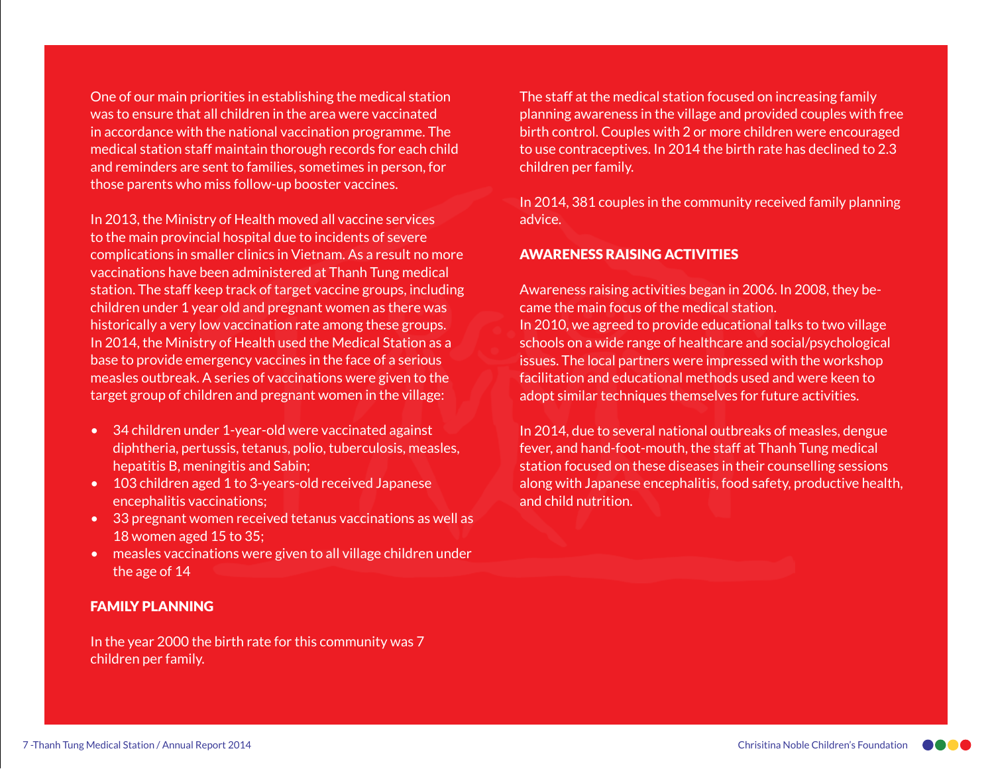One of our main priorities in establishing the medical station was to ensure that all children in the area were vaccinated in accordance with the national vaccination programme. The medical station staff maintain thorough records for each child and reminders are sent to families, sometimes in person, for those parents who miss follow-up booster vaccines.

In 2013, the Ministry of Health moved all vaccine services to the main provincial hospital due to incidents of severe complications in smaller clinics in Vietnam. As a result no more vaccinations have been administered at Thanh Tung medical station. The staff keep track of target vaccine groups, including children under 1 year old and pregnant women as there was historically a very low vaccination rate among these groups. In 2014, the Ministry of Health used the Medical Station as a base to provide emergency vaccines in the face of a serious measles outbreak. A series of vaccinations were given to the target group of children and pregnant women in the village:

- 34 children under 1-year-old were vaccinated against diphtheria, pertussis, tetanus, polio, tuberculosis, measles, hepatitis B, meningitis and Sabin;
- 103 children aged 1 to 3-years-old received Japanese encephalitis vaccinations;
- 33 pregnant women received tetanus vaccinations as well as 18 women aged 15 to 35;
- measles vaccinations were given to all village children under the age of 14

#### FAMILY PLANNING

In the year 2000 the birth rate for this community was 7 children per family.

The staff at the medical station focused on increasing family planning awareness in the village and provided couples with free birth control. Couples with 2 or more children were encouraged to use contraceptives. In 2014 the birth rate has declined to 2.3 children per family.

In 2014, 381 couples in the community received family planning advice.

#### AWARENESS RAISING ACTIVITIES

Awareness raising activities began in 2006. In 2008, they became the main focus of the medical station. In 2010, we agreed to provide educational talks to two village schools on a wide range of healthcare and social/psychological issues. The local partners were impressed with the workshop facilitation and educational methods used and were keen to adopt similar techniques themselves for future activities.

In 2014, due to several national outbreaks of measles, dengue fever, and hand-foot-mouth, the staff at Thanh Tung medical station focused on these diseases in their counselling sessions along with Japanese encephalitis, food safety, productive health, and child nutrition.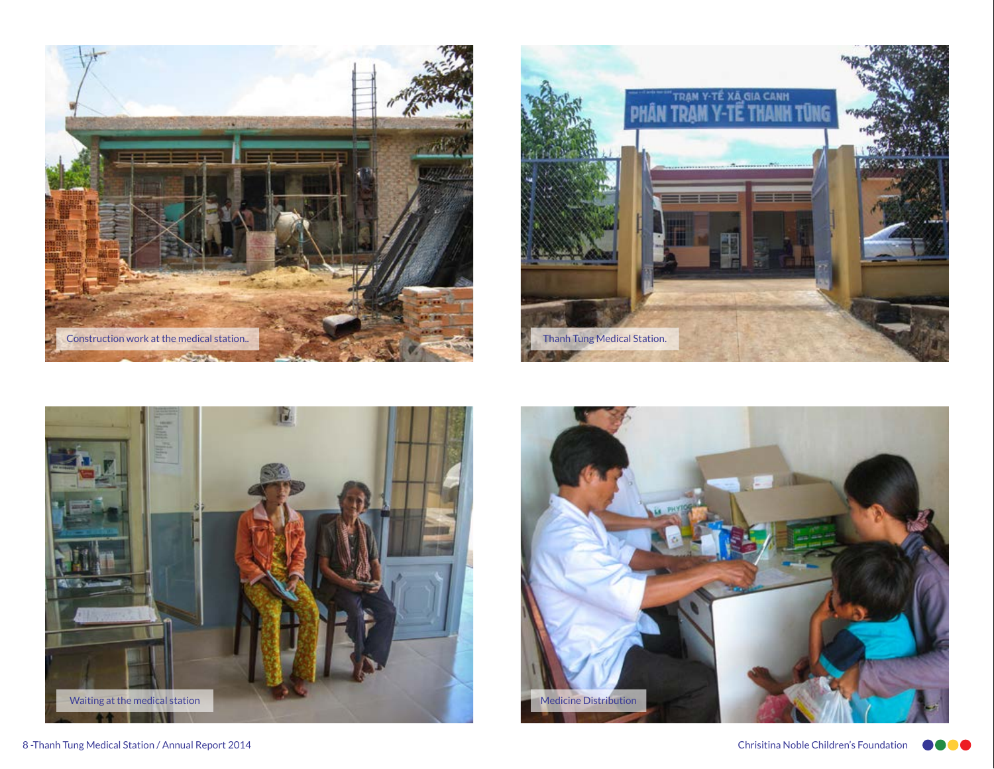







8 -Thanh Tung Medical Station / Annual Report 2014 Chrisitina Noble Children's Foundation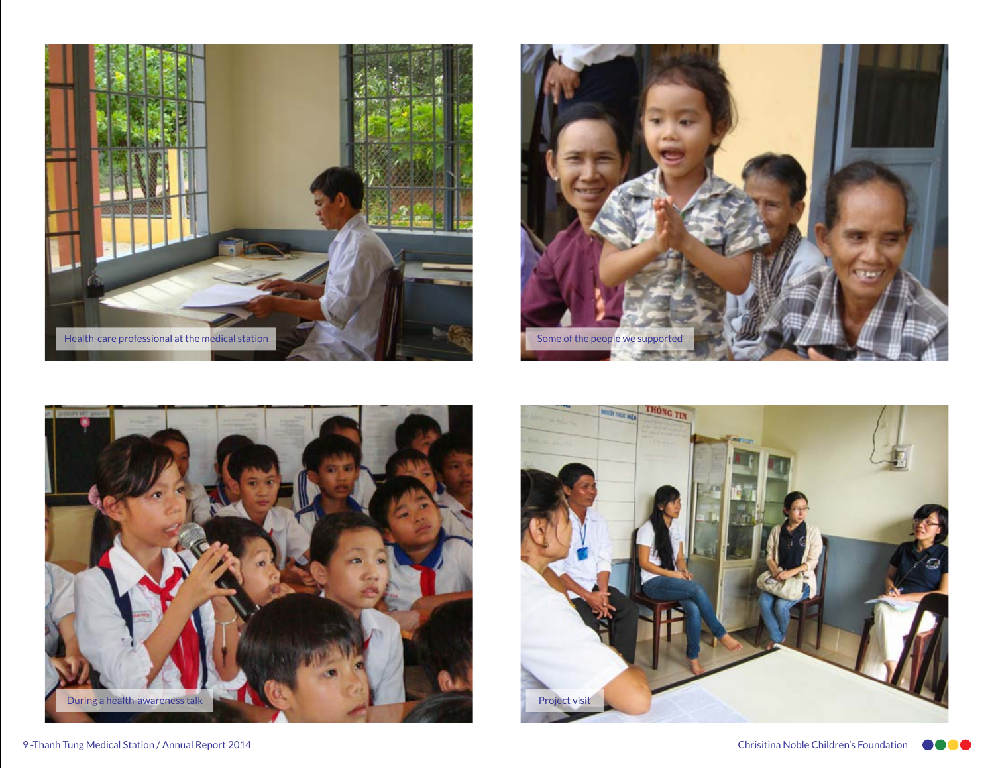